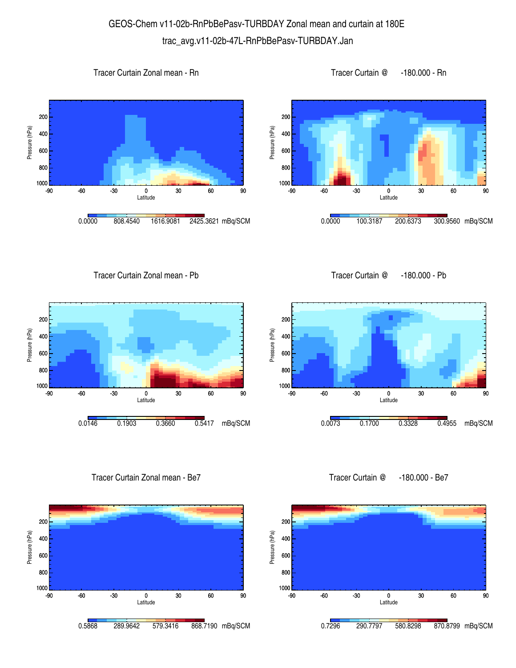## GEOS-Chem v11-02b-RnPbBePasv-TURBDAY Zonal mean and curtain at 180E trac\_avg.v11-02b-47L-RnPbBePasv-TURBDAY.Jan

1000 <mark>L</mark><br>-90

800 600

400

Pressure (hPa)

Pressure (hPa)

200









Tracer Curtain Zonal mean - Pb

Tracer Curtain @ -180.000 - Pb



Tracer Curtain Zonal mean - Be7



0.0073 0.1700 0.3328 0.4955 mBq/SCM

-90 -60 -30 0 30 60 90 Latitude

Tracer Curtain @ -180.000 - Be7